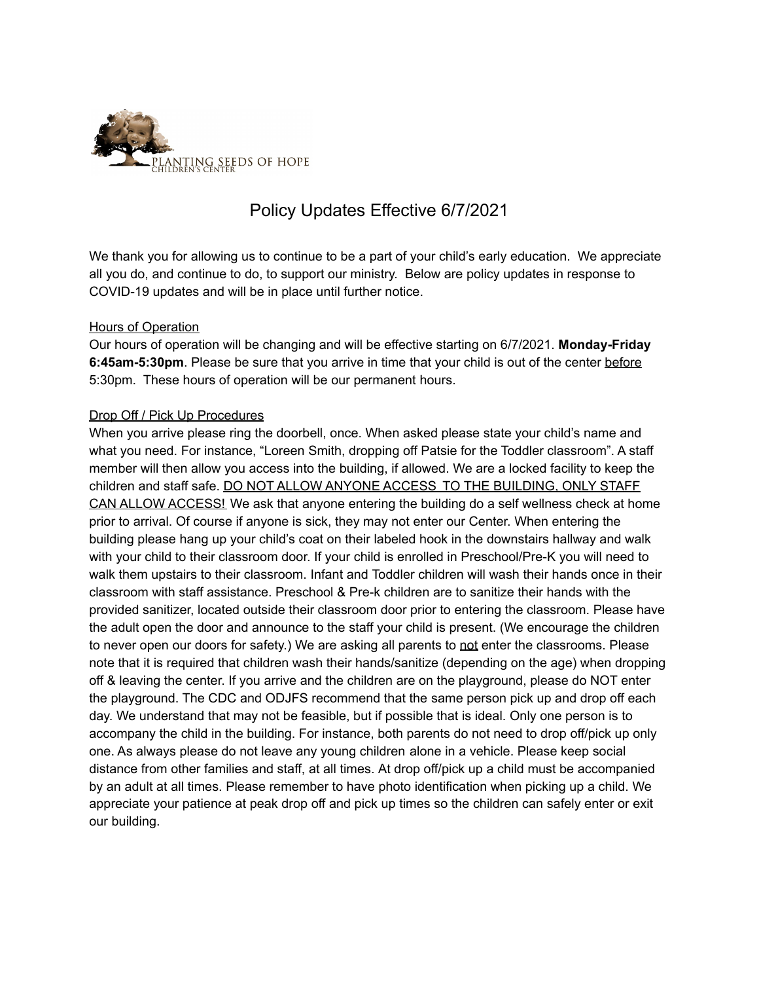

# Policy Updates Effective 6/7/2021

We thank you for allowing us to continue to be a part of your child's early education. We appreciate all you do, and continue to do, to support our ministry. Below are policy updates in response to COVID-19 updates and will be in place until further notice.

### Hours of Operation

Our hours of operation will be changing and will be effective starting on 6/7/2021. **Monday-Friday 6:45am-5:30pm**. Please be sure that you arrive in time that your child is out of the center before 5:30pm. These hours of operation will be our permanent hours.

### Drop Off / Pick Up Procedures

When you arrive please ring the doorbell, once. When asked please state your child's name and what you need. For instance, "Loreen Smith, dropping off Patsie for the Toddler classroom". A staff member will then allow you access into the building, if allowed. We are a locked facility to keep the children and staff safe. DO NOT ALLOW ANYONE ACCESS TO THE BUILDING, ONLY STAFF CAN ALLOW ACCESS! We ask that anyone entering the building do a self wellness check at home prior to arrival. Of course if anyone is sick, they may not enter our Center. When entering the building please hang up your child's coat on their labeled hook in the downstairs hallway and walk with your child to their classroom door. If your child is enrolled in Preschool/Pre-K you will need to walk them upstairs to their classroom. Infant and Toddler children will wash their hands once in their classroom with staff assistance. Preschool & Pre-k children are to sanitize their hands with the provided sanitizer, located outside their classroom door prior to entering the classroom. Please have the adult open the door and announce to the staff your child is present. (We encourage the children to never open our doors for safety.) We are asking all parents to not enter the classrooms. Please note that it is required that children wash their hands/sanitize (depending on the age) when dropping off & leaving the center. If you arrive and the children are on the playground, please do NOT enter the playground. The CDC and ODJFS recommend that the same person pick up and drop off each day. We understand that may not be feasible, but if possible that is ideal. Only one person is to accompany the child in the building. For instance, both parents do not need to drop off/pick up only one. As always please do not leave any young children alone in a vehicle. Please keep social distance from other families and staff, at all times. At drop off/pick up a child must be accompanied by an adult at all times. Please remember to have photo identification when picking up a child. We appreciate your patience at peak drop off and pick up times so the children can safely enter or exit our building.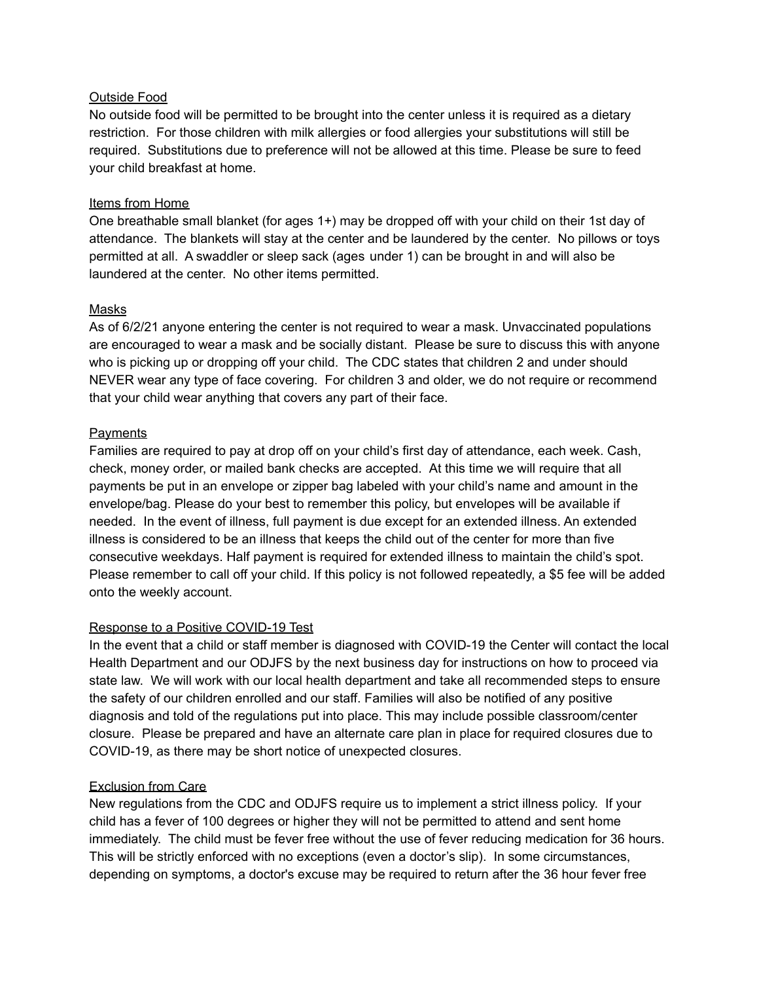### Outside Food

No outside food will be permitted to be brought into the center unless it is required as a dietary restriction. For those children with milk allergies or food allergies your substitutions will still be required. Substitutions due to preference will not be allowed at this time. Please be sure to feed your child breakfast at home.

### Items from Home

One breathable small blanket (for ages 1+) may be dropped off with your child on their 1st day of attendance. The blankets will stay at the center and be laundered by the center. No pillows or toys permitted at all. A swaddler or sleep sack (ages under 1) can be brought in and will also be laundered at the center. No other items permitted.

### Masks

As of 6/2/21 anyone entering the center is not required to wear a mask. Unvaccinated populations are encouraged to wear a mask and be socially distant. Please be sure to discuss this with anyone who is picking up or dropping off your child. The CDC states that children 2 and under should NEVER wear any type of face covering. For children 3 and older, we do not require or recommend that your child wear anything that covers any part of their face.

### **Payments**

Families are required to pay at drop off on your child's first day of attendance, each week. Cash, check, money order, or mailed bank checks are accepted. At this time we will require that all payments be put in an envelope or zipper bag labeled with your child's name and amount in the envelope/bag. Please do your best to remember this policy, but envelopes will be available if needed. In the event of illness, full payment is due except for an extended illness. An extended illness is considered to be an illness that keeps the child out of the center for more than five consecutive weekdays. Half payment is required for extended illness to maintain the child's spot. Please remember to call off your child. If this policy is not followed repeatedly, a \$5 fee will be added onto the weekly account.

## Response to a Positive COVID-19 Test

In the event that a child or staff member is diagnosed with COVID-19 the Center will contact the local Health Department and our ODJFS by the next business day for instructions on how to proceed via state law. We will work with our local health department and take all recommended steps to ensure the safety of our children enrolled and our staff. Families will also be notified of any positive diagnosis and told of the regulations put into place. This may include possible classroom/center closure. Please be prepared and have an alternate care plan in place for required closures due to COVID-19, as there may be short notice of unexpected closures.

#### Exclusion from Care

New regulations from the CDC and ODJFS require us to implement a strict illness policy. If your child has a fever of 100 degrees or higher they will not be permitted to attend and sent home immediately. The child must be fever free without the use of fever reducing medication for 36 hours. This will be strictly enforced with no exceptions (even a doctor's slip). In some circumstances, depending on symptoms, a doctor's excuse may be required to return after the 36 hour fever free